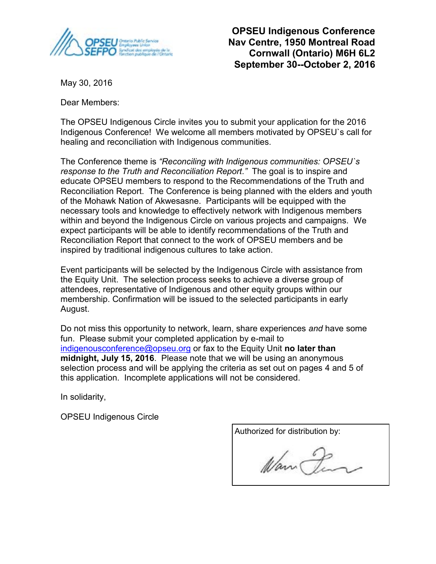

**OPSEU Indigenous Conference Nav Centre, 1950 Montreal Road Cornwall (Ontario) M6H 6L2 September 30--October 2, 2016**

May 30, 2016

Dear Members:

The OPSEU Indigenous Circle invites you to submit your application for the 2016 Indigenous Conference! We welcome all members motivated by OPSEU`s call for healing and reconciliation with Indigenous communities.

The Conference theme is *"Reconciling with Indigenous communities: OPSEU`s response to the Truth and Reconciliation Report."* The goal is to inspire and educate OPSEU members to respond to the Recommendations of the Truth and Reconciliation Report. The Conference is being planned with the elders and youth of the Mohawk Nation of Akwesasne. Participants will be equipped with the necessary tools and knowledge to effectively network with Indigenous members within and beyond the Indigenous Circle on various projects and campaigns. We expect participants will be able to identify recommendations of the Truth and Reconciliation Report that connect to the work of OPSEU members and be inspired by traditional indigenous cultures to take action.

Event participants will be selected by the Indigenous Circle with assistance from the Equity Unit. The selection process seeks to achieve a diverse group of attendees, representative of Indigenous and other equity groups within our membership. Confirmation will be issued to the selected participants in early August.

Do not miss this opportunity to network, learn, share experiences *and* have some fun. Please submit your completed application by e-mail to indigenousconference@opseu.org or fax to the Equity Unit **no later than midnight, July 15, 2016**. Please note that we will be using an anonymous selection process and will be applying the criteria as set out on pages 4 and 5 of this application. Incomplete applications will not be considered.

In solidarity,

OPSEU Indigenous Circle

Authorized for distribution by: Warn Pen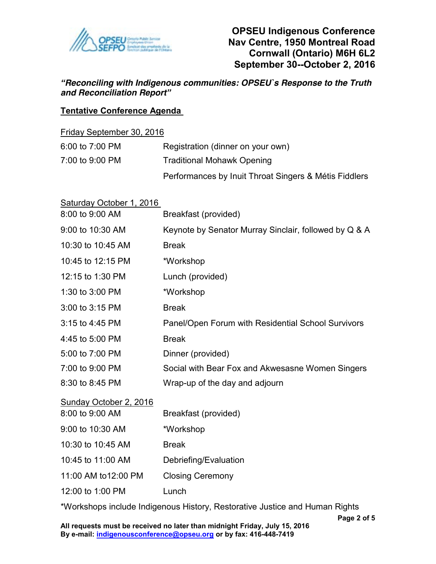

*"Reconciling with Indigenous communities: OPSEU`s Response to the Truth and Reconciliation Report"*

### **Tentative Conference Agenda**

#### Friday September 30, 2016

| 6:00 to 7:00 PM | Registration (dinner on your own)                     |
|-----------------|-------------------------------------------------------|
| 7:00 to 9:00 PM | <b>Traditional Mohawk Opening</b>                     |
|                 | Performances by Inuit Throat Singers & Métis Fiddlers |

| Saturday October 1, 2016 |                                                       |  |  |
|--------------------------|-------------------------------------------------------|--|--|
| 8:00 to 9:00 AM          | Breakfast (provided)                                  |  |  |
| 9:00 to 10:30 AM         | Keynote by Senator Murray Sinclair, followed by Q & A |  |  |
| 10:30 to 10:45 AM        | <b>Break</b>                                          |  |  |
| 10:45 to 12:15 PM        | *Workshop                                             |  |  |
| 12:15 to 1:30 PM         | Lunch (provided)                                      |  |  |
| 1:30 to 3:00 PM          | *Workshop                                             |  |  |
| 3:00 to 3:15 PM          | <b>Break</b>                                          |  |  |
| 3:15 to 4:45 PM          | Panel/Open Forum with Residential School Survivors    |  |  |
| 4:45 to 5:00 PM          | <b>Break</b>                                          |  |  |
| 5:00 to 7:00 PM          | Dinner (provided)                                     |  |  |
| 7:00 to 9:00 PM          | Social with Bear Fox and Akwesasne Women Singers      |  |  |
| 8:30 to 8:45 PM          | Wrap-up of the day and adjourn                        |  |  |
| Sunday October 2, 2016   |                                                       |  |  |
| 8:00 to 9:00 AM          | Breakfast (provided)                                  |  |  |
| 9:00 to 10:30 AM         | *Workshop                                             |  |  |
| 10:30 to 10:45 AM        | <b>Break</b>                                          |  |  |
| 10:45 to 11:00 AM        | Debriefing/Evaluation                                 |  |  |
| 11:00 AM to12:00 PM      | <b>Closing Ceremony</b>                               |  |  |
|                          |                                                       |  |  |

12:00 to 1:00 PM Lunch

\*Workshops include Indigenous History, Restorative Justice and Human Rights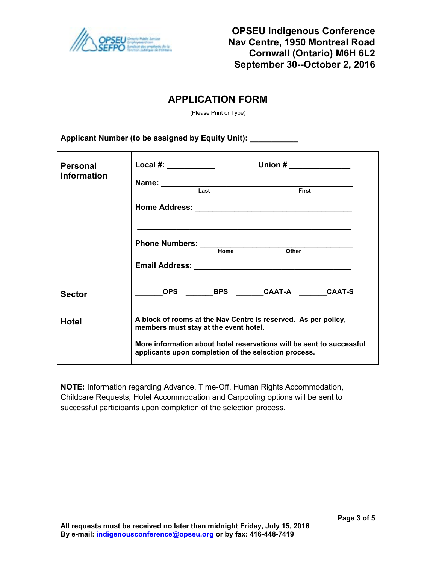

# **APPLICATION FORM**

(Please Print or Type)

#### **Applicant Number (to be assigned by Equity Unit): \_\_\_\_\_\_\_\_\_\_\_**

| <b>Personal</b><br><b>Information</b> | Union $\#$<br>Local #: ____________<br>Name: Last First                                                                                                                                                                                 |  |  |
|---------------------------------------|-----------------------------------------------------------------------------------------------------------------------------------------------------------------------------------------------------------------------------------------|--|--|
|                                       | Home<br>Other                                                                                                                                                                                                                           |  |  |
| <b>Sector</b>                         | OPS BPS CAAT-A CAAT-S                                                                                                                                                                                                                   |  |  |
| Hotel                                 | A block of rooms at the Nav Centre is reserved. As per policy,<br>members must stay at the event hotel.<br>More information about hotel reservations will be sent to successful<br>applicants upon completion of the selection process. |  |  |

**NOTE:** Information regarding Advance, Time-Off, Human Rights Accommodation, Childcare Requests, Hotel Accommodation and Carpooling options will be sent to successful participants upon completion of the selection process.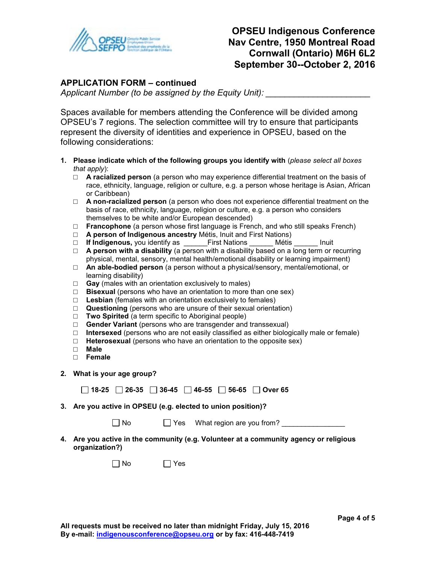

# **OPSEU Indigenous Conference Nav Centre, 1950 Montreal Road Cornwall (Ontario) M6H 6L2 September 30--October 2, 2016**

#### **APPLICATION FORM – continued**

Applicant Number (to be assigned by the Equity Unit):

Spaces available for members attending the Conference will be divided among OPSEU's 7 regions. The selection committee will try to ensure that participants represent the diversity of identities and experience in OPSEU, based on the following considerations:

- **1. Please indicate which of the following groups you identify with** (*please select all boxes that apply*):
	- □ **A racialized person** (a person who may experience differential treatment on the basis of race, ethnicity, language, religion or culture, e.g. a person whose heritage is Asian, African or Caribbean)
	- □ **A non-racialized person** (a person who does not experience differential treatment on the basis of race, ethnicity, language, religion or culture, e.g. a person who considers themselves to be white and/or European descended)
	- □ **Francophone** (a person whose first language is French, and who still speaks French)
	- □ **A person of Indigenous ancestry** Métis, Inuit and First Nations)<br>□ **If Indigenous.** you identify as First Nations Métis
	- □ If Indigenous, you identify as \_\_\_\_\_\_First Nations \_\_\_\_\_\_ Métis \_\_\_\_\_\_ Inuit
	- □ **A person with a disability** (a person with a disability based on a long term or recurring physical, mental, sensory, mental health/emotional disability or learning impairment)
	- □ **An able-bodied person** (a person without a physical/sensory, mental/emotional, or learning disability)
	- □ **Gay** (males with an orientation exclusively to males)
	- □ **Bisexual** (persons who have an orientation to more than one sex)
	- □ **Lesbian** (females with an orientation exclusively to females)
	- □ **Questioning** (persons who are unsure of their sexual orientation)
	- □ **Two Spirited** (a term specific to Aboriginal people)
	- □ **Gender Variant** (persons who are transgender and transsexual)
	- □ **Intersexed** (persons who are not easily classified as either biologically male or female)
	- □ **Heterosexual** (persons who have an orientation to the opposite sex)
	- □ **Male**
	- □ **Female**
- **2. What is your age group?**

|  |  |  |  |  | $\Box$ 18-25 $\Box$ 26-35 $\Box$ 36-45 $\Box$ 46-55 $\Box$ 56-65 $\Box$ Over 65 |
|--|--|--|--|--|---------------------------------------------------------------------------------|
|--|--|--|--|--|---------------------------------------------------------------------------------|

**3. Are you active in OPSEU (e.g. elected to union position)?** 

| No |  | $\Box$ Yes What region are you from? |
|----|--|--------------------------------------|
|----|--|--------------------------------------|

**4. Are you active in the community (e.g. Volunteer at a community agency or religious organization?)** 

 $\Box$  No  $\Box$  Yes